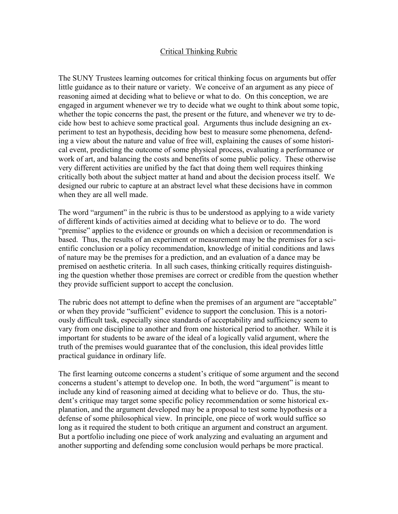#### Critical Thinking Rubric

The SUNY Trustees learning outcomes for critical thinking focus on arguments but offer little guidance as to their nature or variety. We conceive of an argument as any piece of reasoning aimed at deciding what to believe or what to do. On this conception, we are engaged in argument whenever we try to decide what we ought to think about some topic, whether the topic concerns the past, the present or the future, and whenever we try to decide how best to achieve some practical goal. Arguments thus include designing an experiment to test an hypothesis, deciding how best to measure some phenomena, defending a view about the nature and value of free will, explaining the causes of some historical event, predicting the outcome of some physical process, evaluating a performance or work of art, and balancing the costs and benefits of some public policy. These otherwise very different activities are unified by the fact that doing them well requires thinking critically both about the subject matter at hand and about the decision process itself. We designed our rubric to capture at an abstract level what these decisions have in common when they are all well made.

The word "argument" in the rubric is thus to be understood as applying to a wide variety of different kinds of activities aimed at deciding what to believe or to do. The word "premise" applies to the evidence or grounds on which a decision or recommendation is based. Thus, the results of an experiment or measurement may be the premises for a scientific conclusion or a policy recommendation, knowledge of initial conditions and laws of nature may be the premises for a prediction, and an evaluation of a dance may be premised on aesthetic criteria. In all such cases, thinking critically requires distinguishing the question whether those premises are correct or credible from the question whether they provide sufficient support to accept the conclusion.

The rubric does not attempt to define when the premises of an argument are "acceptable" or when they provide "sufficient" evidence to support the conclusion. This is a notoriously difficult task, especially since standards of acceptability and sufficiency seem to vary from one discipline to another and from one historical period to another. While it is important for students to be aware of the ideal of a logically valid argument, where the truth of the premises would guarantee that of the conclusion, this ideal provides little practical guidance in ordinary life.

The first learning outcome concerns a student's critique of some argument and the second concerns a student's attempt to develop one. In both, the word "argument" is meant to include any kind of reasoning aimed at deciding what to believe or do. Thus, the student's critique may target some specific policy recommendation or some historical explanation, and the argument developed may be a proposal to test some hypothesis or a defense of some philosophical view. In principle, one piece of work would suffice so long as it required the student to both critique an argument and construct an argument. But a portfolio including one piece of work analyzing and evaluating an argument and another supporting and defending some conclusion would perhaps be more practical.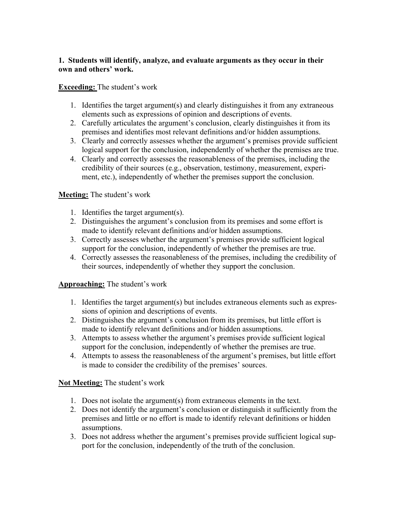#### **1. Students will identify, analyze, and evaluate arguments as they occur in their own and others' work.**

# **Exceeding:** The student's work

- 1. Identifies the target argument(s) and clearly distinguishes it from any extraneous elements such as expressions of opinion and descriptions of events.
- 2. Carefully articulates the argument's conclusion, clearly distinguishes it from its premises and identifies most relevant definitions and/or hidden assumptions.
- 3. Clearly and correctly assesses whether the argument's premises provide sufficient logical support for the conclusion, independently of whether the premises are true.
- 4. Clearly and correctly assesses the reasonableness of the premises, including the credibility of their sources (e.g., observation, testimony, measurement, experiment, etc.), independently of whether the premises support the conclusion.

# **Meeting:** The student's work

- 1. Identifies the target argument(s).
- 2. Distinguishes the argument's conclusion from its premises and some effort is made to identify relevant definitions and/or hidden assumptions.
- 3. Correctly assesses whether the argument's premises provide sufficient logical support for the conclusion, independently of whether the premises are true.
- 4. Correctly assesses the reasonableness of the premises, including the credibility of their sources, independently of whether they support the conclusion.

# **Approaching:** The student's work

- 1. Identifies the target argument(s) but includes extraneous elements such as expressions of opinion and descriptions of events.
- 2. Distinguishes the argument's conclusion from its premises, but little effort is made to identify relevant definitions and/or hidden assumptions.
- 3. Attempts to assess whether the argument's premises provide sufficient logical support for the conclusion, independently of whether the premises are true.
- 4. Attempts to assess the reasonableness of the argument's premises, but little effort is made to consider the credibility of the premises' sources.

#### **Not Meeting:** The student's work

- 1. Does not isolate the argument(s) from extraneous elements in the text.
- 2. Does not identify the argument's conclusion or distinguish it sufficiently from the premises and little or no effort is made to identify relevant definitions or hidden assumptions.
- 3. Does not address whether the argument's premises provide sufficient logical support for the conclusion, independently of the truth of the conclusion.